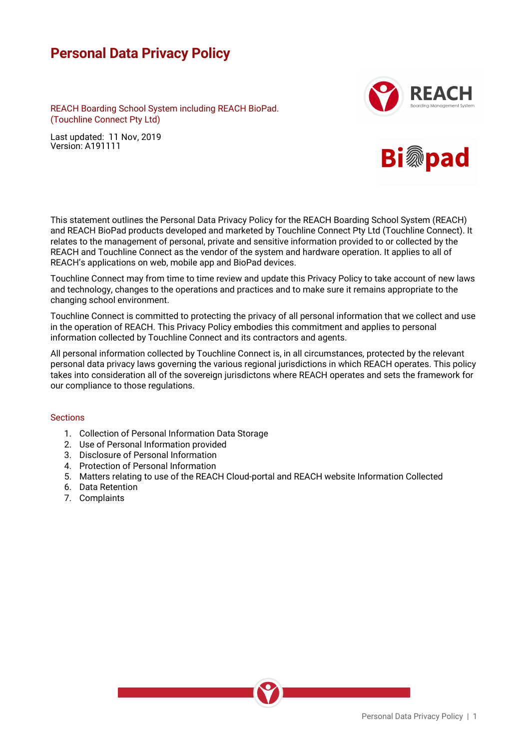# **Personal Data Privacy Policy**

 REACH Boarding School System including REACH BioPad. (Touchline Connect Pty Ltd)

Last updated: 11 Nov, 2019 Version: A191111





This statement outlines the Personal Data Privacy Policy for the REACH Boarding School System (REACH) and REACH BioPad products developed and marketed by Touchline Connect Pty Ltd (Touchline Connect). It relates to the management of personal, private and sensitive information provided to or collected by the REACH and Touchline Connect as the vendor of the system and hardware operation. It applies to all of REACH's applications on web, mobile app and BioPad devices.

Touchline Connect may from time to time review and update this Privacy Policy to take account of new laws and technology, changes to the operations and practices and to make sure it remains appropriate to the changing school environment.

Touchline Connect is committed to protecting the privacy of all personal information that we collect and use in the operation of REACH. This Privacy Policy embodies this commitment and applies to personal information collected by Touchline Connect and its contractors and agents.

All personal information collected by Touchline Connect is, in all circumstances, protected by the relevant personal data privacy laws governing the various regional jurisdictions in which REACH operates. This policy takes into consideration all of the sovereign jurisdictons where REACH operates and sets the framework for our compliance to those regulations.

## **Sections**

- 1. Collection of Personal Information Data Storage
- 2. Use of Personal Information provided
- 3. Disclosure of Personal Information
- 4. Protection of Personal Information
- 5. Matters relating to use of the REACH Cloud-portal and REACH website Information Collected
- 6. Data Retention
- 7. Complaints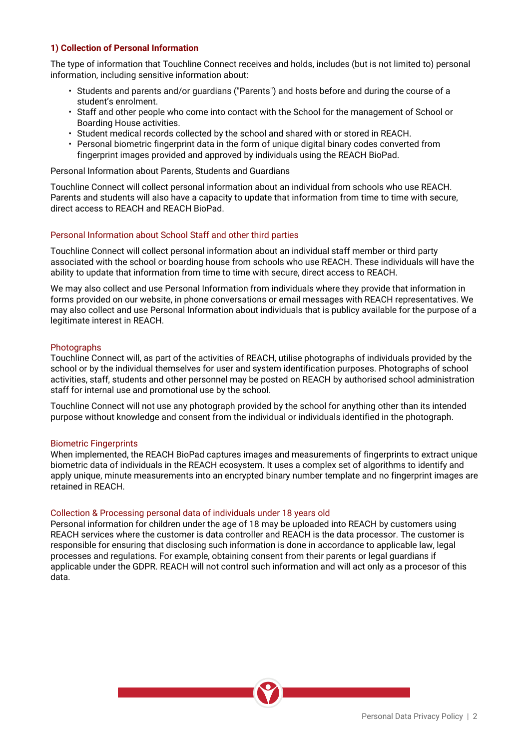## **1) Collection of Personal Information**

The type of information that Touchline Connect receives and holds, includes (but is not limited to) personal information, including sensitive information about:

- Students and parents and/or guardians ("Parents") and hosts before and during the course of a student's enrolment.
- Staff and other people who come into contact with the School for the management of School or Boarding House activities.
- Student medical records collected by the school and shared with or stored in REACH.
- Personal biometric fingerprint data in the form of unique digital binary codes converted from fingerprint images provided and approved by individuals using the REACH BioPad.

Personal Information about Parents, Students and Guardians

Touchline Connect will collect personal information about an individual from schools who use REACH. Parents and students will also have a capacity to update that information from time to time with secure, direct access to REACH and REACH BioPad.

## Personal Information about School Staff and other third parties

Touchline Connect will collect personal information about an individual staff member or third party associated with the school or boarding house from schools who use REACH. These individuals will have the ability to update that information from time to time with secure, direct access to REACH.

We may also collect and use Personal Information from individuals where they provide that information in forms provided on our website, in phone conversations or email messages with REACH representatives. We may also collect and use Personal Information about individuals that is publicy available for the purpose of a legitimate interest in REACH.

## **Photographs**

Touchline Connect will, as part of the activities of REACH, utilise photographs of individuals provided by the school or by the individual themselves for user and system identification purposes. Photographs of school activities, staff, students and other personnel may be posted on REACH by authorised school administration staff for internal use and promotional use by the school.

Touchline Connect will not use any photograph provided by the school for anything other than its intended purpose without knowledge and consent from the individual or individuals identified in the photograph.

## Biometric Fingerprints

When implemented, the REACH BioPad captures images and measurements of fingerprints to extract unique biometric data of individuals in the REACH ecosystem. It uses a complex set of algorithms to identify and apply unique, minute measurements into an encrypted binary number template and no fingerprint images are retained in REACH.

## Collection & Processing personal data of individuals under 18 years old

Personal information for children under the age of 18 may be uploaded into REACH by customers using REACH services where the customer is data controller and REACH is the data processor. The customer is responsible for ensuring that disclosing such information is done in accordance to applicable law, legal processes and regulations. For example, obtaining consent from their parents or legal guardians if applicable under the GDPR. REACH will not control such information and will act only as a procesor of this data.

Personal Data Privacy Policy | 2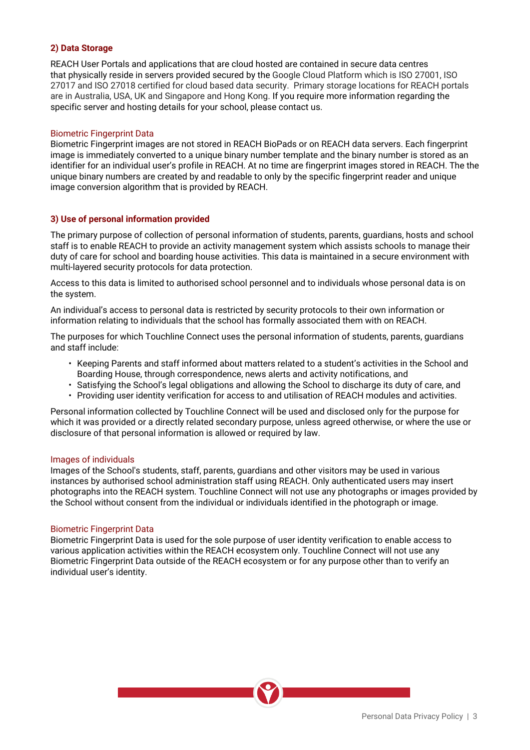## **2) Data Storage**

REACH User Portals and applications that are cloud hosted are contained in secure data centres that physically reside in servers provided secured by the Google Cloud Platform which is ISO 27001, ISO 27017 and ISO 27018 certified for cloud based data security. Primary storage locations for REACH portals are in Australia, USA, UK and Singapore and Hong Kong. If you require more information regarding the specific server and hosting details for your school, please contact us.

## Biometric Fingerprint Data

Biometric Fingerprint images are not stored in REACH BioPads or on REACH data servers. Each fingerprint image is immediately converted to a unique binary number template and the binary number is stored as an identifier for an individual user's profile in REACH. At no time are fingerprint images stored in REACH. The the unique binary numbers are created by and readable to only by the specific fingerprint reader and unique image conversion algorithm that is provided by REACH.

## **3) Use of personal information provided**

The primary purpose of collection of personal information of students, parents, guardians, hosts and school staff is to enable REACH to provide an activity management system which assists schools to manage their duty of care for school and boarding house activities. This data is maintained in a secure environment with multi-layered security protocols for data protection.

Access to this data is limited to authorised school personnel and to individuals whose personal data is on the system.

An individual's access to personal data is restricted by security protocols to their own information or information relating to individuals that the school has formally associated them with on REACH.

The purposes for which Touchline Connect uses the personal information of students, parents, guardians and staff include:

- Keeping Parents and staff informed about matters related to a student's activities in the School and Boarding House, through correspondence, news alerts and activity notifications, and
- Satisfying the School's legal obligations and allowing the School to discharge its duty of care, and
- Providing user identity verification for access to and utilisation of REACH modules and activities.

Personal information collected by Touchline Connect will be used and disclosed only for the purpose for which it was provided or a directly related secondary purpose, unless agreed otherwise, or where the use or disclosure of that personal information is allowed or required by law.

## Images of individuals

Images of the School's students, staff, parents, guardians and other visitors may be used in various instances by authorised school administration staff using REACH. Only authenticated users may insert photographs into the REACH system. Touchline Connect will not use any photographs or images provided by the School without consent from the individual or individuals identified in the photograph or image.

## Biometric Fingerprint Data

Biometric Fingerprint Data is used for the sole purpose of user identity verification to enable access to various application activities within the REACH ecosystem only. Touchline Connect will not use any Biometric Fingerprint Data outside of the REACH ecosystem or for any purpose other than to verify an individual user's identity.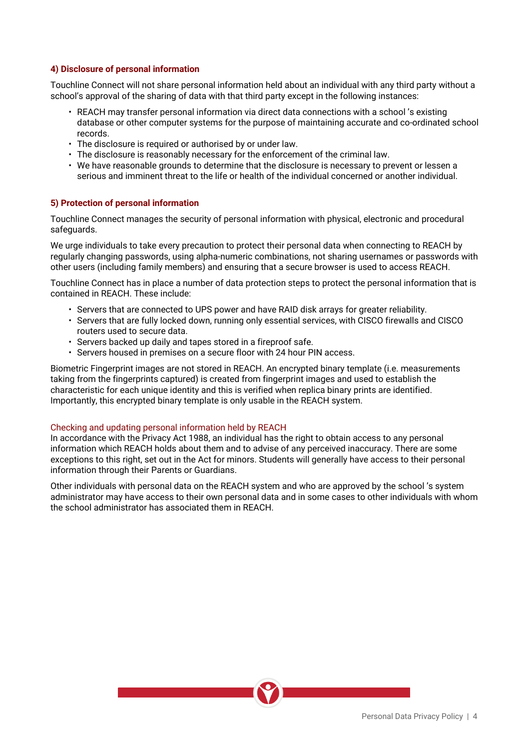# **4) Disclosure of personal information**

Touchline Connect will not share personal information held about an individual with any third party without a school's approval of the sharing of data with that third party except in the following instances:

- REACH may transfer personal information via direct data connections with a school 's existing database or other computer systems for the purpose of maintaining accurate and co-ordinated school records.
- The disclosure is required or authorised by or under law.
- The disclosure is reasonably necessary for the enforcement of the criminal law.
- We have reasonable grounds to determine that the disclosure is necessary to prevent or lessen a serious and imminent threat to the life or health of the individual concerned or another individual.

## **5) Protection of personal information**

Touchline Connect manages the security of personal information with physical, electronic and procedural safeguards.

We urge individuals to take every precaution to protect their personal data when connecting to REACH by regularly changing passwords, using alpha-numeric combinations, not sharing usernames or passwords with other users (including family members) and ensuring that a secure browser is used to access REACH.

Touchline Connect has in place a number of data protection steps to protect the personal information that is contained in REACH. These include:

- Servers that are connected to UPS power and have RAID disk arrays for greater reliability.
- Servers that are fully locked down, running only essential services, with CISCO firewalls and CISCO routers used to secure data.
- Servers backed up daily and tapes stored in a fireproof safe.
- Servers housed in premises on a secure floor with 24 hour PIN access.

Biometric Fingerprint images are not stored in REACH. An encrypted binary template (i.e. measurements taking from the fingerprints captured) is created from fingerprint images and used to establish the characteristic for each unique identity and this is verified when replica binary prints are identified. Importantly, this encrypted binary template is only usable in the REACH system.

# Checking and updating personal information held by REACH

In accordance with the Privacy Act 1988, an individual has the right to obtain access to any personal information which REACH holds about them and to advise of any perceived inaccuracy. There are some exceptions to this right, set out in the Act for minors. Students will generally have access to their personal information through their Parents or Guardians.

Other individuals with personal data on the REACH system and who are approved by the school 's system administrator may have access to their own personal data and in some cases to other individuals with whom the school administrator has associated them in REACH.

Personal Data Privacy Policy | 4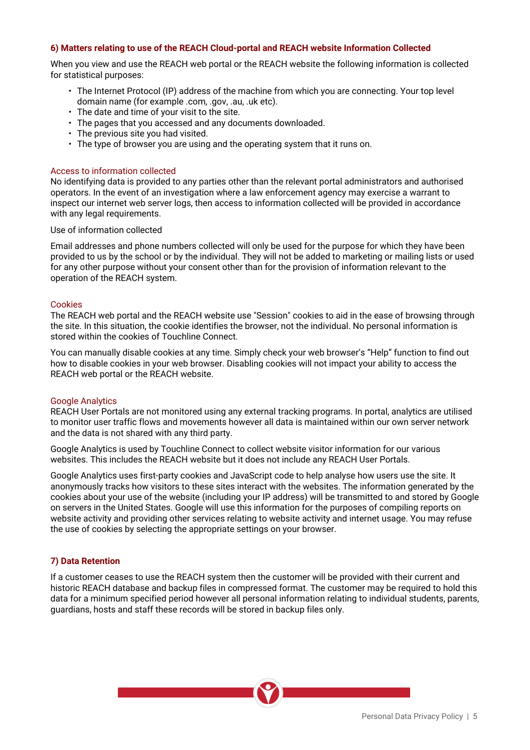## **6) Matters relating to use of the REACH Cloud-portal and REACH website Information Collected**

When you view and use the REACH web portal or the REACH website the following information is collected for statistical purposes:

- The Internet Protocol (IP) address of the machine from which you are connecting. Your top level domain name (for example .com, .gov, .au, .uk etc).
- The date and time of your visit to the site.
- The pages that you accessed and any documents downloaded.
- The previous site you had visited.
- The type of browser you are using and the operating system that it runs on.

## Access to information collected

No identifying data is provided to any parties other than the relevant portal administrators and authorised operators. In the event of an investigation where a law enforcement agency may exercise a warrant to inspect our internet web server logs, then access to information collected will be provided in accordance with any legal requirements.

Use of information collected

Email addresses and phone numbers collected will only be used for the purpose for which they have been provided to us by the school or by the individual. They will not be added to marketing or mailing lists or used for any other purpose without your consent other than for the provision of information relevant to the operation of the REACH system.

## Cookies

The REACH web portal and the REACH website use "Session" cookies to aid in the ease of browsing through the site. In this situation, the cookie identifies the browser, not the individual. No personal information is stored within the cookies of Touchline Connect.

You can manually disable cookies at any time. Simply check your web browser's "Help" function to find out how to disable cookies in your web browser. Disabling cookies will not impact your ability to access the REACH web portal or the REACH website.

## Google Analytics

REACH User Portals are not monitored using any external tracking programs. In portal, analytics are utilised to monitor user traffic flows and movements however all data is maintained within our own server network and the data is not shared with any third party.

Google Analytics is used by Touchline Connect to collect website visitor information for our various websites. This includes the REACH website but it does not include any REACH User Portals.

Google Analytics uses first-party cookies and JavaScript code to help analyse how users use the site. It anonymously tracks how visitors to these sites interact with the websites. The information generated by the cookies about your use of the website (including your IP address) will be transmitted to and stored by Google on servers in the United States. Google will use this information for the purposes of compiling reports on website activity and providing other services relating to website activity and internet usage. You may refuse the use of cookies by selecting the appropriate settings on your browser.

## **7) Data Retention**

If a customer ceases to use the REACH system then the customer will be provided with their current and historic REACH database and backup files in compressed format. The customer may be required to hold this data for a minimum specified period however all personal information relating to individual students, parents, guardians, hosts and staff these records will be stored in backup files only.